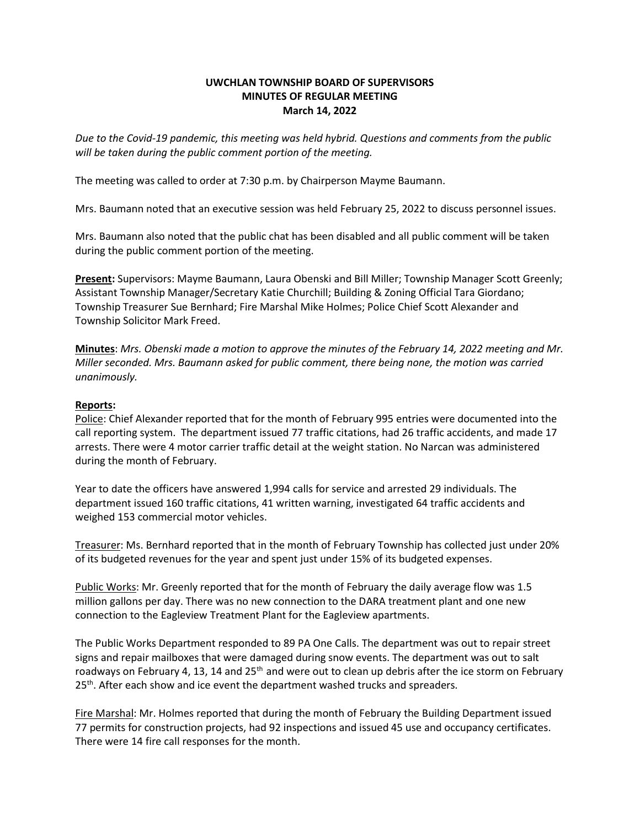## **UWCHLAN TOWNSHIP BOARD OF SUPERVISORS MINUTES OF REGULAR MEETING March 14, 2022**

*Due to the Covid-19 pandemic, this meeting was held hybrid. Questions and comments from the public will be taken during the public comment portion of the meeting.* 

The meeting was called to order at 7:30 p.m. by Chairperson Mayme Baumann.

Mrs. Baumann noted that an executive session was held February 25, 2022 to discuss personnel issues.

Mrs. Baumann also noted that the public chat has been disabled and all public comment will be taken during the public comment portion of the meeting.

**Present:** Supervisors: Mayme Baumann, Laura Obenski and Bill Miller; Township Manager Scott Greenly; Assistant Township Manager/Secretary Katie Churchill; Building & Zoning Official Tara Giordano; Township Treasurer Sue Bernhard; Fire Marshal Mike Holmes; Police Chief Scott Alexander and Township Solicitor Mark Freed.

**Minutes**: *Mrs. Obenski made a motion to approve the minutes of the February 14, 2022 meeting and Mr. Miller seconded. Mrs. Baumann asked for public comment, there being none, the motion was carried unanimously.*

## **Reports:**

Police: Chief Alexander reported that for the month of February 995 entries were documented into the call reporting system. The department issued 77 traffic citations, had 26 traffic accidents, and made 17 arrests. There were 4 motor carrier traffic detail at the weight station. No Narcan was administered during the month of February.

Year to date the officers have answered 1,994 calls for service and arrested 29 individuals. The department issued 160 traffic citations, 41 written warning, investigated 64 traffic accidents and weighed 153 commercial motor vehicles.

Treasurer: Ms. Bernhard reported that in the month of February Township has collected just under 20% of its budgeted revenues for the year and spent just under 15% of its budgeted expenses.

Public Works: Mr. Greenly reported that for the month of February the daily average flow was 1.5 million gallons per day. There was no new connection to the DARA treatment plant and one new connection to the Eagleview Treatment Plant for the Eagleview apartments.

The Public Works Department responded to 89 PA One Calls. The department was out to repair street signs and repair mailboxes that were damaged during snow events. The department was out to salt roadways on February 4, 13, 14 and 25<sup>th</sup> and were out to clean up debris after the ice storm on February 25<sup>th</sup>. After each show and ice event the department washed trucks and spreaders.

Fire Marshal: Mr. Holmes reported that during the month of February the Building Department issued 77 permits for construction projects, had 92 inspections and issued 45 use and occupancy certificates. There were 14 fire call responses for the month.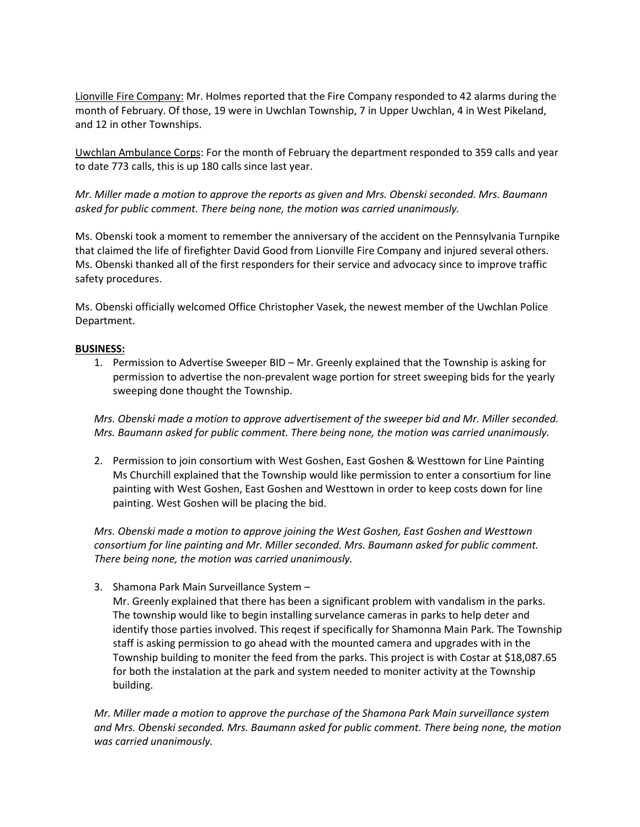Lionville Fire Company: Mr. Holmes reported that the Fire Company responded to 42 alarms during the month of February. Of those, 19 were in Uwchlan Township, 7 in Upper Uwchlan, 4 in West Pikeland, and 12 in other Townships.

Uwchlan Ambulance Corps: For the month of February the department responded to 359 calls and year to date 773 calls, this is up 180 calls since last year.

*Mr. Miller made a motion to approve the reports as given and Mrs. Obenski seconded. Mrs. Baumann asked for public comment. There being none, the motion was carried unanimously.*

Ms. Obenski took a moment to remember the anniversary of the accident on the Pennsylvania Turnpike that claimed the life of firefighter David Good from Lionville Fire Company and injured several others. Ms. Obenski thanked all of the first responders for their service and advocacy since to improve traffic safety procedures.

Ms. Obenski officially welcomed Office Christopher Vasek, the newest member of the Uwchlan Police Department.

## **BUSINESS:**

1. Permission to Advertise Sweeper BID – Mr. Greenly explained that the Township is asking for permission to advertise the non-prevalent wage portion for street sweeping bids for the yearly sweeping done thought the Township.

*Mrs. Obenski made a motion to approve advertisement of the sweeper bid and Mr. Miller seconded. Mrs. Baumann asked for public comment. There being none, the motion was carried unanimously.*

2. Permission to join consortium with West Goshen, East Goshen & Westtown for Line Painting Ms Churchill explained that the Township would like permission to enter a consortium for line painting with West Goshen, East Goshen and Westtown in order to keep costs down for line painting. West Goshen will be placing the bid.

*Mrs. Obenski made a motion to approve joining the West Goshen, East Goshen and Westtown consortium for line painting and Mr. Miller seconded. Mrs. Baumann asked for public comment. There being none, the motion was carried unanimously.*

3. Shamona Park Main Surveillance System –

Mr. Greenly explained that there has been a significant problem with vandalism in the parks. The township would like to begin installing survelance cameras in parks to help deter and identify those parties involved. This reqest if specifically for Shamonna Main Park. The Township staff is asking permission to go ahead with the mounted camera and upgrades with in the Township building to moniter the feed from the parks. This project is with Costar at \$18,087.65 for both the instalation at the park and system needed to moniter activity at the Township building.

*Mr. Miller made a motion to approve the purchase of the Shamona Park Main surveillance system and Mrs. Obenski seconded. Mrs. Baumann asked for public comment. There being none, the motion was carried unanimously.*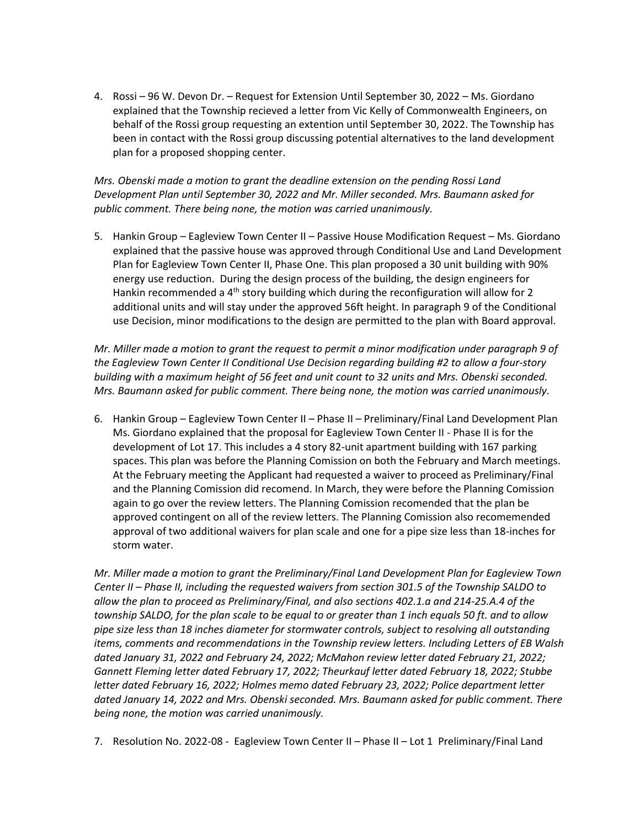4. Rossi – 96 W. Devon Dr. – Request for Extension Until September 30, 2022 – Ms. Giordano explained that the Township recieved a letter from Vic Kelly of Commonwealth Engineers, on behalf of the Rossi group requesting an extention until September 30, 2022. The Township has been in contact with the Rossi group discussing potential alternatives to the land development plan for a proposed shopping center.

*Mrs. Obenski made a motion to grant the deadline extension on the pending Rossi Land Development Plan until September 30, 2022 and Mr. Miller seconded. Mrs. Baumann asked for public comment. There being none, the motion was carried unanimously.*

5. Hankin Group – Eagleview Town Center II – Passive House Modification Request – Ms. Giordano explained that the passive house was approved through Conditional Use and Land Development Plan for Eagleview Town Center II, Phase One. This plan proposed a 30 unit building with 90% energy use reduction. During the design process of the building, the design engineers for Hankin recommended a  $4<sup>th</sup>$  story building which during the reconfiguration will allow for 2 additional units and will stay under the approved 56ft height. In paragraph 9 of the Conditional use Decision, minor modifications to the design are permitted to the plan with Board approval.

*Mr. Miller made a motion to grant the request to permit a minor modification under paragraph 9 of the Eagleview Town Center II Conditional Use Decision regarding building #2 to allow a four-story building with a maximum height of 56 feet and unit count to 32 units and Mrs. Obenski seconded. Mrs. Baumann asked for public comment. There being none, the motion was carried unanimously.*

6. Hankin Group – Eagleview Town Center II – Phase II – Preliminary/Final Land Development Plan Ms. Giordano explained that the proposal for Eagleview Town Center II - Phase II is for the development of Lot 17. This includes a 4 story 82-unit apartment building with 167 parking spaces. This plan was before the Planning Comission on both the February and March meetings. At the February meeting the Applicant had requested a waiver to proceed as Preliminary/Final and the Planning Comission did recomend. In March, they were before the Planning Comission again to go over the review letters. The Planning Comission recomended that the plan be approved contingent on all of the review letters. The Planning Comission also recomemended approval of two additional waivers for plan scale and one for a pipe size less than 18-inches for storm water.

*Mr. Miller made a motion to grant the Preliminary/Final Land Development Plan for Eagleview Town Center II – Phase II, including the requested waivers from section 301.5 of the Township SALDO to allow the plan to proceed as Preliminary/Final, and also sections 402.1.a and 214-25.A.4 of the township SALDO, for the plan scale to be equal to or greater than 1 inch equals 50 ft. and to allow pipe size less than 18 inches diameter for stormwater controls, subject to resolving all outstanding items, comments and recommendations in the Township review letters. Including Letters of EB Walsh dated January 31, 2022 and February 24, 2022; McMahon review letter dated February 21, 2022; Gannett Fleming letter dated February 17, 2022; Theurkauf letter dated February 18, 2022; Stubbe letter dated February 16, 2022; Holmes memo dated February 23, 2022; Police department letter dated January 14, 2022 and Mrs. Obenski seconded. Mrs. Baumann asked for public comment. There being none, the motion was carried unanimously.*

7. Resolution No. 2022-08 - Eagleview Town Center II – Phase II – Lot 1 Preliminary/Final Land